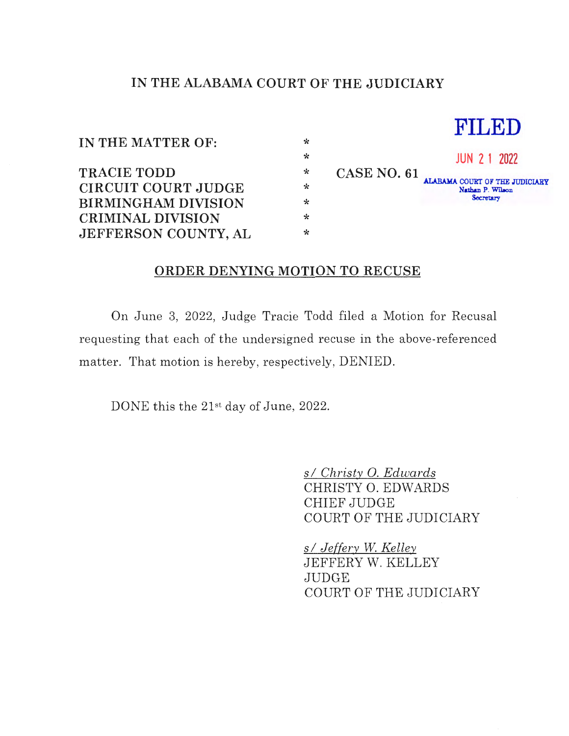## IN THE ALABAMA COURT OF THE JUDICIARY

IN THE MATTER OF:

TRACIE TODD CIRCUIT COURT JUDGE BIRMINGHAM DIVISION CRIMINAL DIVISION JEFFERSON COUNTY, AL



## **ORDER DENYING MOTION TO RECUSE**

On June 3, 2022, Judge Tracie Todd filed a Motion for Recusal requesting that each of the undersigned recuse in the above-referenced matter. That motion is hereby, respectively, DENIED.

DONE this the 21<sup>st</sup> day of June, 2022.

*s I Christy* 0. *Edwards*  CHRISTY 0. EDWARDS CHIEF JUDGE COURT OF THE JUDICIARY

*s I Jeffery W. Kelley*  JEFFERY W. KELLEY JUDGE COURT OF THE JUDICIARY